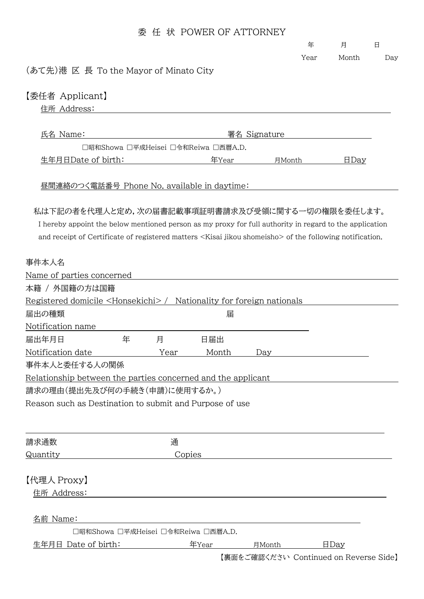|                                                                                                                       | 委 |              | 任 状 POWER OF ATTORNEY               |                                        |      |       |     |
|-----------------------------------------------------------------------------------------------------------------------|---|--------------|-------------------------------------|----------------------------------------|------|-------|-----|
|                                                                                                                       |   |              |                                     |                                        | 年    | 月     | 日   |
|                                                                                                                       |   |              |                                     |                                        | Year | Month | Day |
| (あて先)港 区 長 To the Mayor of Minato City                                                                                |   |              |                                     |                                        |      |       |     |
| 【委任者 Applicant】                                                                                                       |   |              |                                     |                                        |      |       |     |
| 住所 Address:                                                                                                           |   |              |                                     |                                        |      |       |     |
|                                                                                                                       |   |              |                                     |                                        |      |       |     |
| 氏名 Name:                                                                                                              |   | 署名 Signature |                                     |                                        |      |       |     |
|                                                                                                                       |   |              | □昭和Showa □平成Heisei □令和Reiwa □西暦A.D. |                                        |      |       |     |
| 生年月日Date of birth:                                                                                                    |   |              | 年Year                               | 月Month                                 |      | HDay  |     |
| 昼間連絡のつく電話番号 Phone No. available in daytime:                                                                           |   |              |                                     |                                        |      |       |     |
| 私は下記の者を代理人と定め,次の届書記載事項証明書請求及び受領に関する一切の権限を委任します。                                                                       |   |              |                                     |                                        |      |       |     |
| I hereby appoint the below mentioned person as my proxy for full authority in regard to the application               |   |              |                                     |                                        |      |       |     |
| and receipt of Certificate of registered matters <kisai jikou="" shomeisho=""> of the following notification.</kisai> |   |              |                                     |                                        |      |       |     |
|                                                                                                                       |   |              |                                     |                                        |      |       |     |
| 事件本人名                                                                                                                 |   |              |                                     |                                        |      |       |     |
| Name of parties concerned                                                                                             |   |              |                                     |                                        |      |       |     |
| 本籍 / 外国籍の方は国籍                                                                                                         |   |              |                                     |                                        |      |       |     |
| Registered domicile <honsekichi> / Nationality for foreign nationals</honsekichi>                                     |   |              |                                     |                                        |      |       |     |
| 届出の種類                                                                                                                 |   |              | 届                                   |                                        |      |       |     |
| Notification name                                                                                                     |   |              |                                     |                                        |      |       |     |
| 届出年月日                                                                                                                 | 年 | 月            | 日届出                                 |                                        |      |       |     |
| Notification date                                                                                                     |   | Year         | Month                               | Day                                    |      |       |     |
| 事件本人と委任する人の関係                                                                                                         |   |              |                                     |                                        |      |       |     |
| Relationship between the parties concerned and the applicant                                                          |   |              |                                     |                                        |      |       |     |
| 請求の理由(提出先及び何の手続き(申請)に使用するか。)                                                                                          |   |              |                                     |                                        |      |       |     |
| Reason such as Destination to submit and Purpose of use                                                               |   |              |                                     |                                        |      |       |     |
|                                                                                                                       |   |              |                                     |                                        |      |       |     |
|                                                                                                                       |   |              |                                     |                                        |      |       |     |
| 請求通数                                                                                                                  |   | 通            |                                     |                                        |      |       |     |
| Quantity                                                                                                              |   | Copies       |                                     |                                        |      |       |     |
|                                                                                                                       |   |              |                                     |                                        |      |       |     |
| 【代理人 Proxy】                                                                                                           |   |              |                                     |                                        |      |       |     |
| 住所 Address:                                                                                                           |   |              |                                     |                                        |      |       |     |
|                                                                                                                       |   |              |                                     |                                        |      |       |     |
| 名前 Name:                                                                                                              |   |              |                                     |                                        |      |       |     |
|                                                                                                                       |   |              | □昭和Showa □平成Heisei □令和Reiwa □西暦A.D. |                                        |      |       |     |
| 生年月日 Date of birth:                                                                                                   |   |              | 年Year                               | 月Month                                 |      | HDay  |     |
|                                                                                                                       |   |              |                                     | 【裏面をご確認ください Continued on Reverse Side】 |      |       |     |